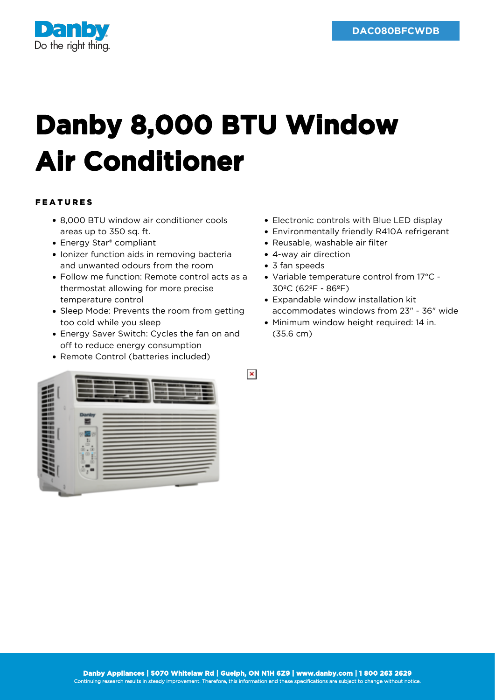

## **Danby 8,000 BTU Window Air Conditioner**

## FEATURES

- 8,000 BTU window air conditioner cools areas up to 350 sq. ft.
- Energy Star<sup>®</sup> compliant
- Ionizer function aids in removing bacteria and unwanted odours from the room
- Follow me function: Remote control acts as a thermostat allowing for more precise temperature control
- Sleep Mode: Prevents the room from getting too cold while you sleep
- Energy Saver Switch: Cycles the fan on and off to reduce energy consumption
- Remote Control (batteries included)
- Electronic controls with Blue LED display
- Environmentally friendly R410A refrigerant
- Reusable, washable air filter
- 4-way air direction
- 3 fan speeds

 $\pmb{\times}$ 

- Variable temperature control from 17ºC 30ºC (62ºF - 86ºF)
- Expandable window installation kit accommodates windows from 23" - 36" wide
- Minimum window height required: 14 in. (35.6 cm)